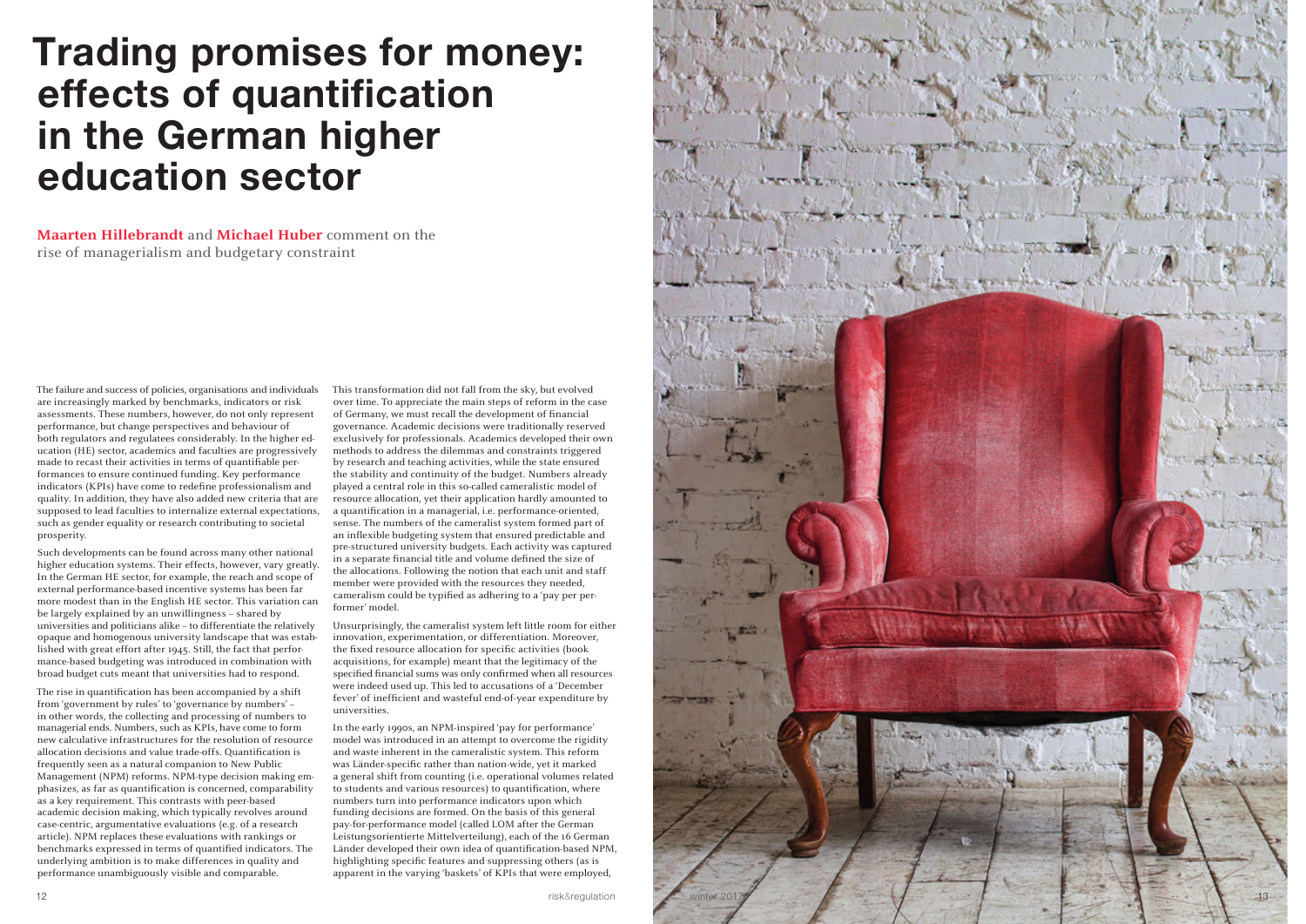The failure and success of policies, organisations and individuals are increasingly marked by benchmarks, indicators or risk assessments. These numbers, however, do not only represent performance, but change perspectives and behaviour of both regulators and regulatees considerably. In the higher ed ucation (HE) sector, academics and faculties are progressively made to recast their activities in terms of quantifiable performances to ensure continued funding. Key performance indicators (KPIs) have come to redefine professionalism and quality. In addition, they have also added new criteria that are supposed to lead faculties to internalize external expectations, such as gender equality or research contributing to societal prosperity.

Such developments can be found across many other national higher education systems. Their effects, however, vary greatly. In the German HE sector, for example, the reach and scope of external performance-based incentive systems has been far more modest than in the English HE sector. This variation can be largely explained by an unwillingness – shared by universities and politicians alike – to differentiate the relatively opaque and homogenous university landscape that was estab lished with great effort after 1945. Still, the fact that performance-based budgeting was introduced in combination with broad budget cuts meant that universities had to respond.

The rise in quantification has been accompanied by a shift from 'government by rules' to 'governance by numbers' – in other words, the collecting and processing of numbers to managerial ends. Numbers, such as KPIs, have come to form new calculative infrastructures for the resolution of resource allocation decisions and value trade-offs. Quantification is frequently seen as a natural companion to New Public Management (NPM) reforms. NPM-type decision making em phasizes, as far as quantification is concerned, comparability as a key requirement. This contrasts with peer-based academic decision making, which typically revolves around case-centric, argumentative evaluations (e.g. of a research article). NPM replaces these evaluations with rankings or benchmarks expressed in terms of quantified indicators. The underlying ambition is to make differences in quality and performance unambiguously visible and comparable.

This transformation did not fall from the sky, but evolved over time. To appreciate the main steps of reform in the case of Germany, we must recall the development of financial governance. Academic decisions were traditionally reserved exclusively for professionals. Academics developed their own methods to address the dilemmas and constraints triggered by research and teaching activities, while the state ensured the stability and continuity of the budget. Numbers already played a central role in this so-called cameralistic model of resource allocation, yet their application hardly amounted to a quantification in a managerial, i.e. performance-oriented, sense. The numbers of the cameralist system formed part of an inflexible budgeting system that ensured predictable and pre-structured university budgets. Each activity was captured in a separate financial title and volume defined the size of the allocations. Following the notion that each unit and staff member were provided with the resources they needed, cameralism could be typified as adhering to a 'pay per performer' model.

Unsurprisingly, the cameralist system left little room for either innovation, experimentation, or differentiation. Moreover, the fixed resource allocation for specific activities (book acquisitions, for example) meant that the legitimacy of the specified financial sums was only confirmed when all resources were indeed used up. This led to accusations of a 'December fever' of inefficient and wasteful end-of-year expenditure by universities.

In the early 1990s, an NPM-inspired 'pay for performance' model was introduced in an attempt to overcome the rigidity and waste inherent in the cameralistic system. This reform was Länder-specific rather than nation-wide, yet it marked a general shift from counting (i.e. operational volumes related to students and various resources) to quantification, where numbers turn into performance indicators upon which funding decisions are formed. On the basis of this general pay-for-performance model (called LOM after the German Leistungsorientierte Mittelverteilung), each of the 16 German Länder developed their own idea of quantification-based NPM, highlighting specific features and suppressing others (as is apparent in the varying 'baskets' of KPIs that were employed,

## Trading promises for money: effects of quantification in the German higher education sector

**Maarten Hillebrandt** and **Michael Huber** comment on the rise of managerialism and budgetary constraint